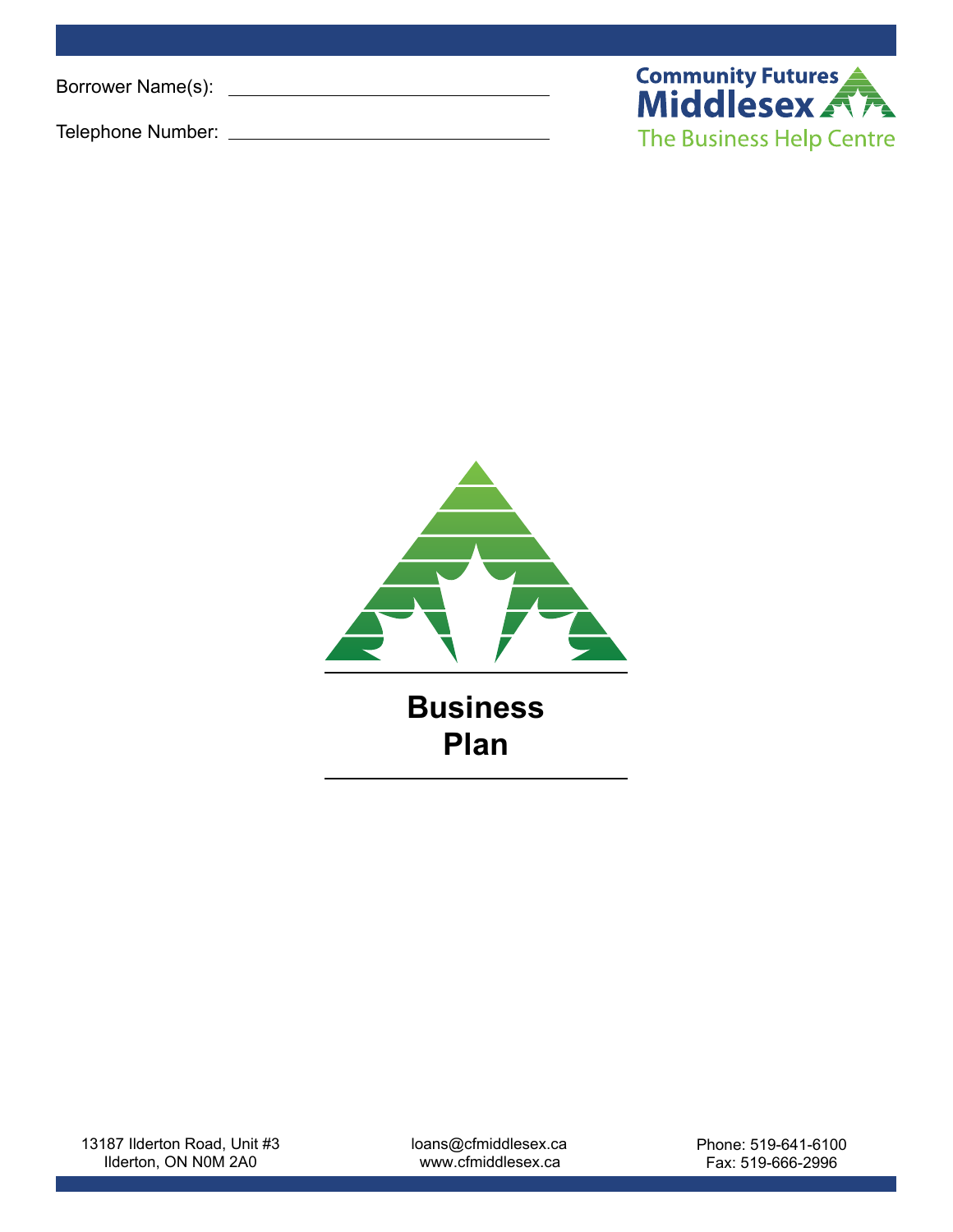Borrower Name(s):

Telephone Number:





13187 Ilderton Road, Unit #3 Ilderton, ON N0M 2A0

loans@cfmiddlesex.ca www.cfmiddlesex.ca

Phone: 519-641-6100 Fax: 519-666-2996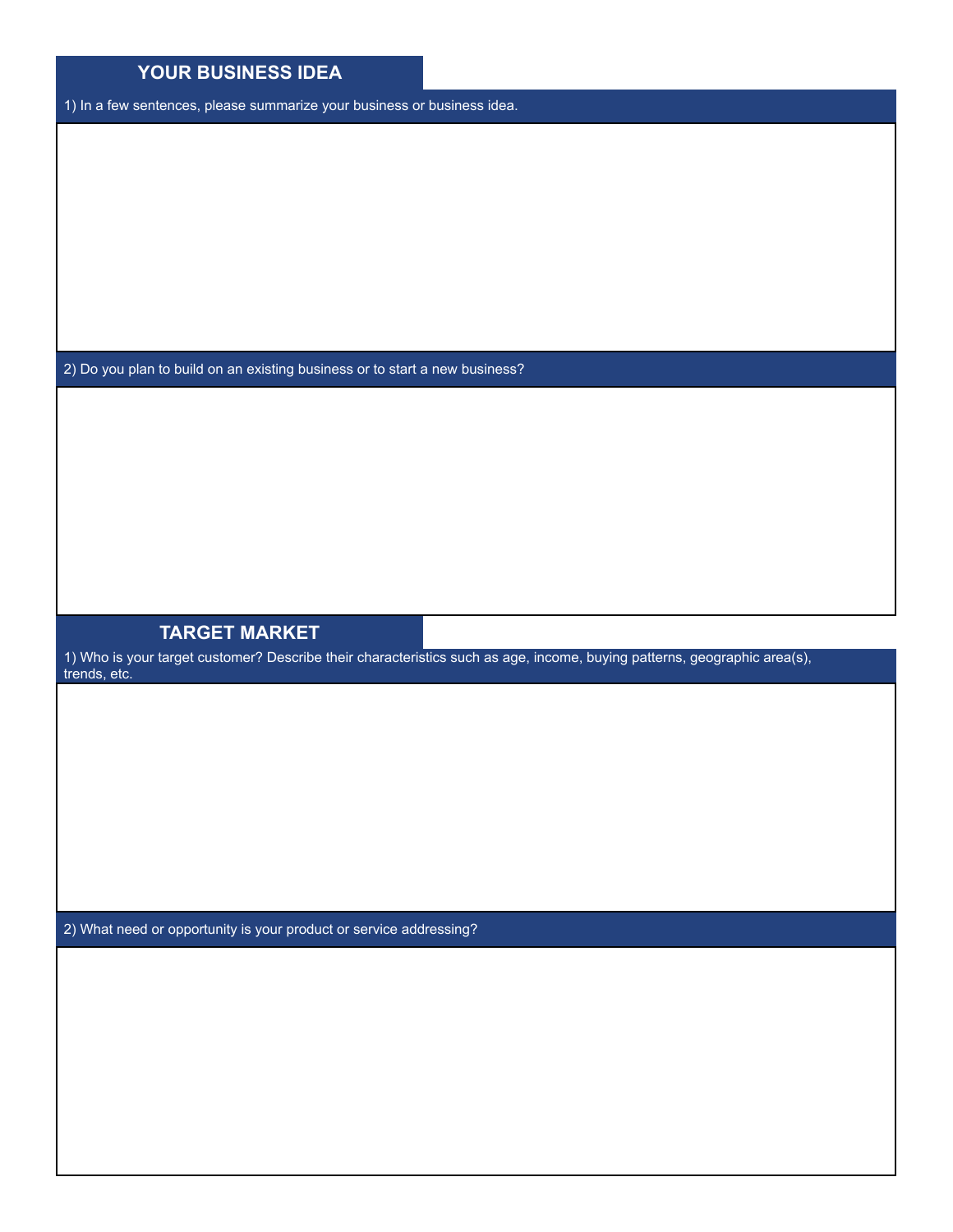| YOUR BUSINESS IDEA                                                          |                                                                                                                          |
|-----------------------------------------------------------------------------|--------------------------------------------------------------------------------------------------------------------------|
| 1) In a few sentences, please summarize your business or business idea.     |                                                                                                                          |
|                                                                             |                                                                                                                          |
|                                                                             |                                                                                                                          |
|                                                                             |                                                                                                                          |
|                                                                             |                                                                                                                          |
|                                                                             |                                                                                                                          |
|                                                                             |                                                                                                                          |
|                                                                             |                                                                                                                          |
|                                                                             |                                                                                                                          |
| 2) Do you plan to build on an existing business or to start a new business? |                                                                                                                          |
|                                                                             |                                                                                                                          |
|                                                                             |                                                                                                                          |
|                                                                             |                                                                                                                          |
|                                                                             |                                                                                                                          |
|                                                                             |                                                                                                                          |
|                                                                             |                                                                                                                          |
|                                                                             |                                                                                                                          |
| <b>TARGET MARKET</b>                                                        |                                                                                                                          |
| trends, etc.                                                                | 1) Who is your target customer? Describe their characteristics such as age, income, buying patterns, geographic area(s), |
|                                                                             |                                                                                                                          |
|                                                                             |                                                                                                                          |
|                                                                             |                                                                                                                          |
|                                                                             |                                                                                                                          |
|                                                                             |                                                                                                                          |
|                                                                             |                                                                                                                          |
|                                                                             |                                                                                                                          |
|                                                                             |                                                                                                                          |
| 2) What need or opportunity is your product or service addressing?          |                                                                                                                          |
|                                                                             |                                                                                                                          |
|                                                                             |                                                                                                                          |
|                                                                             |                                                                                                                          |
|                                                                             |                                                                                                                          |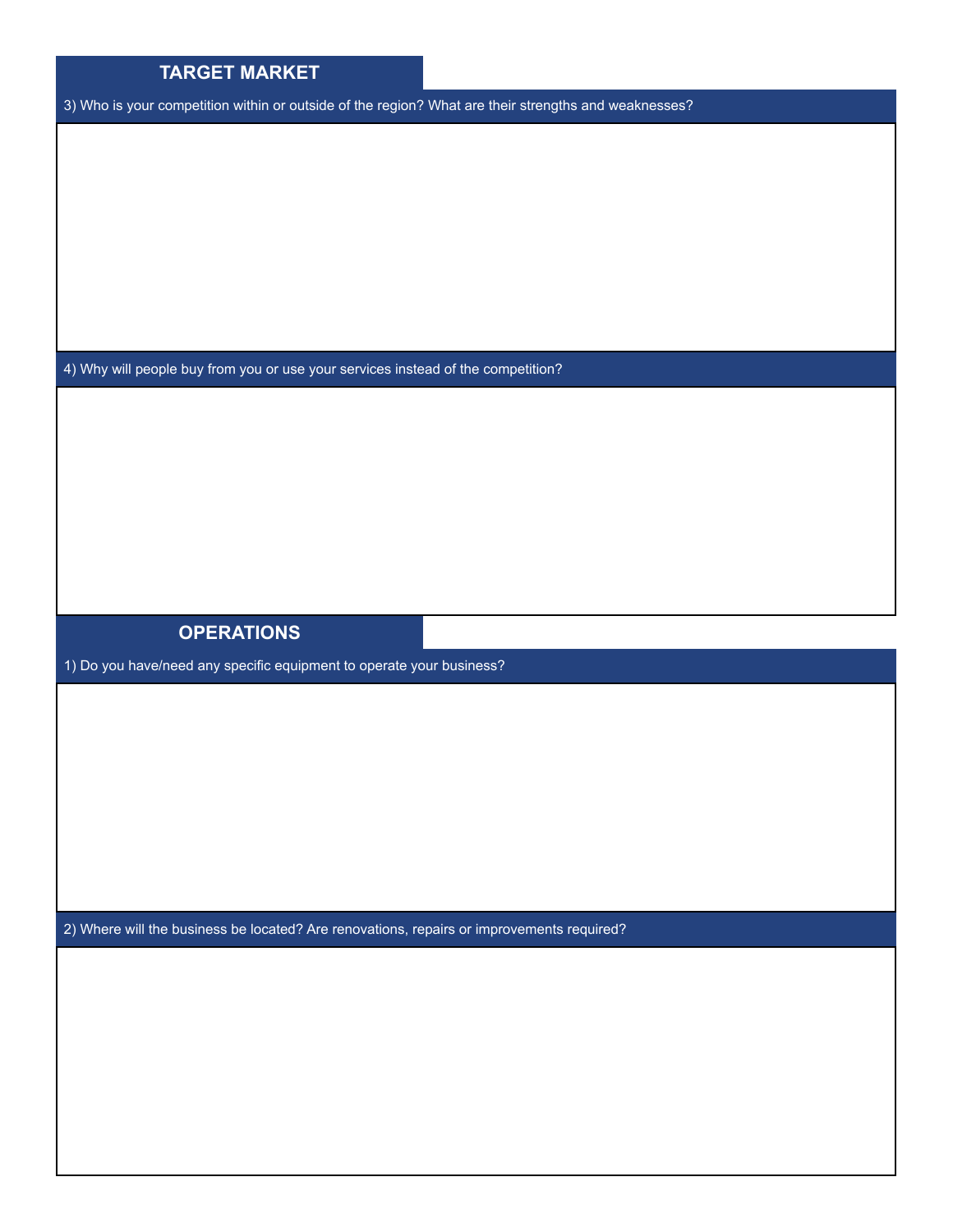| <b>TARGET MARKET</b> |  |
|----------------------|--|
|                      |  |

3) Who is your competition within or outside of the region? What are their strengths and weaknesses?

4) Why will people buy from you or use your services instead of the competition?

## **OPERATIONS**

1) Do you have/need any specific equipment to operate your business?

2) Where will the business be located? Are renovations, repairs or improvements required?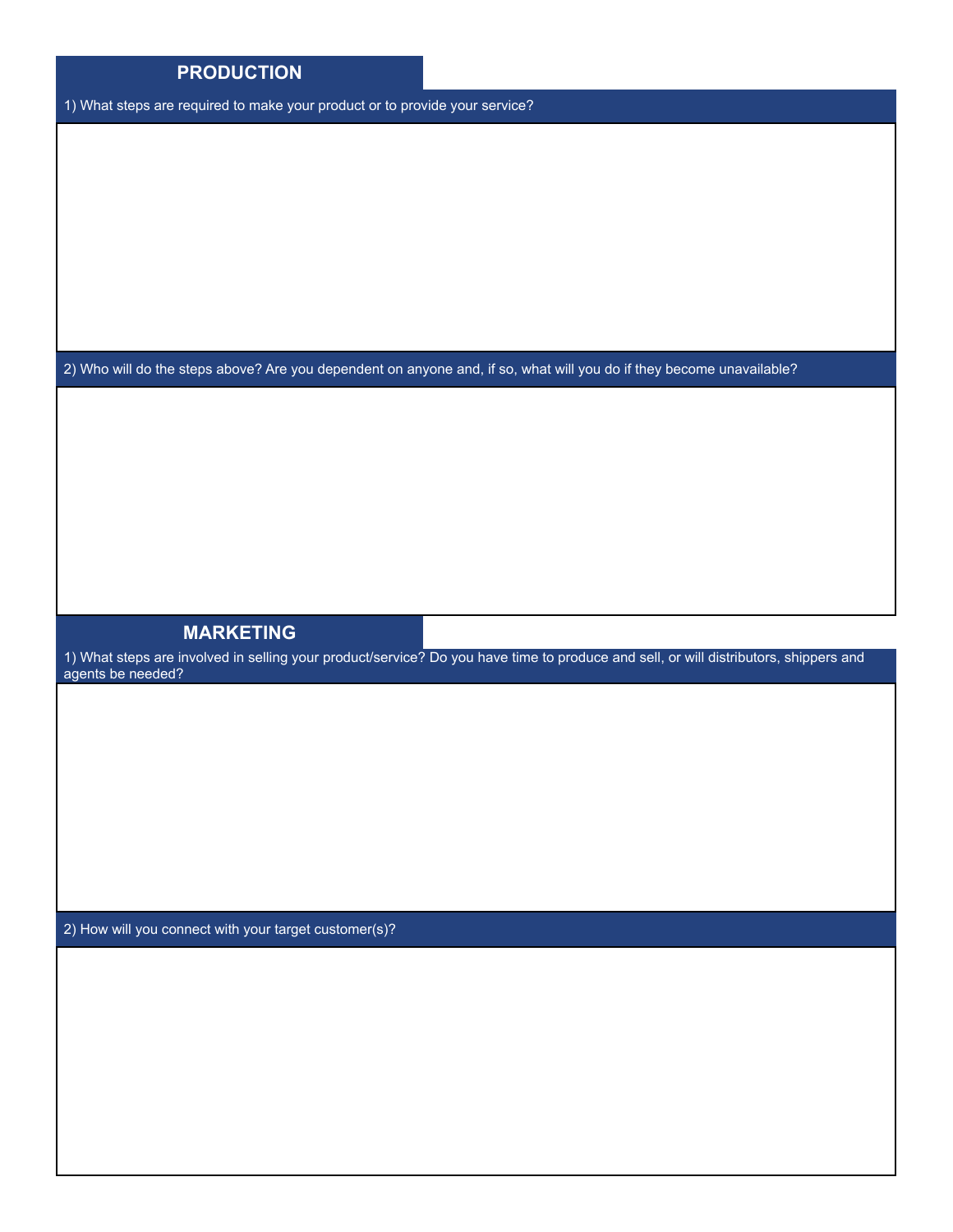| <b>PRODUCTION</b>                                                           |                                                                                                                                      |
|-----------------------------------------------------------------------------|--------------------------------------------------------------------------------------------------------------------------------------|
| 1) What steps are required to make your product or to provide your service? |                                                                                                                                      |
|                                                                             |                                                                                                                                      |
|                                                                             |                                                                                                                                      |
|                                                                             |                                                                                                                                      |
|                                                                             |                                                                                                                                      |
|                                                                             |                                                                                                                                      |
|                                                                             |                                                                                                                                      |
|                                                                             |                                                                                                                                      |
|                                                                             | 2) Who will do the steps above? Are you dependent on anyone and, if so, what will you do if they become unavailable?                 |
|                                                                             |                                                                                                                                      |
|                                                                             |                                                                                                                                      |
|                                                                             |                                                                                                                                      |
|                                                                             |                                                                                                                                      |
|                                                                             |                                                                                                                                      |
|                                                                             |                                                                                                                                      |
|                                                                             |                                                                                                                                      |
| <b>MARKETING</b>                                                            |                                                                                                                                      |
| agents be needed?                                                           | 1) What steps are involved in selling your product/service? Do you have time to produce and sell, or will distributors, shippers and |
|                                                                             |                                                                                                                                      |
|                                                                             |                                                                                                                                      |
|                                                                             |                                                                                                                                      |

2) How will you connect with your target customer(s)?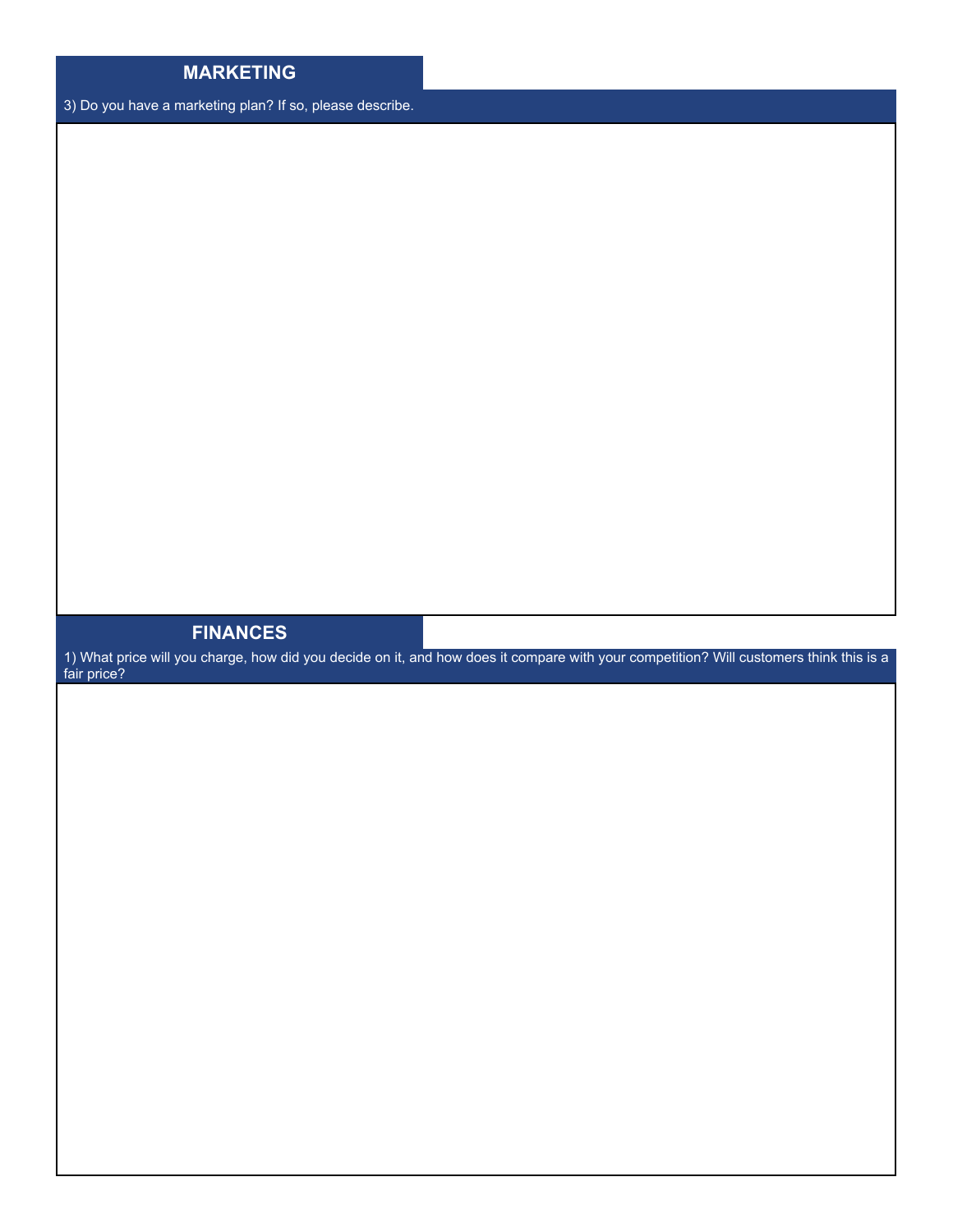## **MARKETING**

3) Do you have a marketing plan? If so, please describe.

## **FINANCES**

1) What price will you charge, how did you decide on it, and how does it compare with your competition? Will customers think this is a fair price?